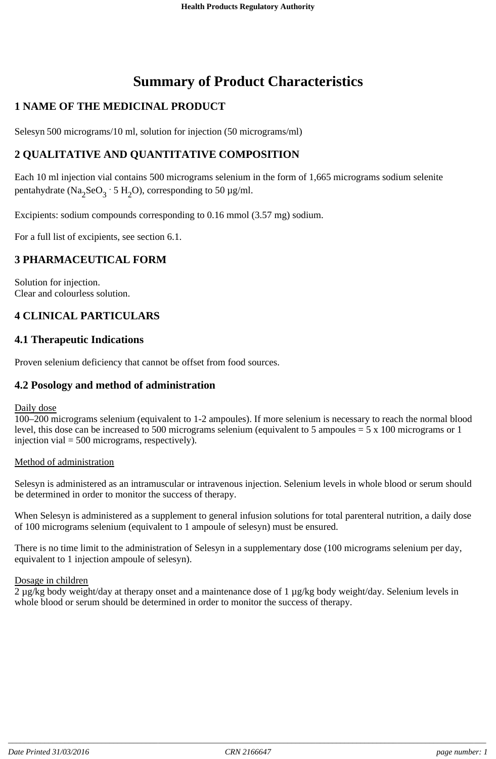# **Summary of Product Characteristics**

# **1 NAME OF THE MEDICINAL PRODUCT**

Selesyn 500 micrograms/10 ml, solution for injection (50 micrograms/ml)

# **2 QUALITATIVE AND QUANTITATIVE COMPOSITION**

Each 10 ml injection vial contains 500 micrograms selenium in the form of 1,665 micrograms sodium selenite pentahydrate (Na<sub>2</sub>SeO<sub>3</sub> · 5 H<sub>2</sub>O), corresponding to 50 µg/ml.

Excipients: sodium compounds corresponding to 0.16 mmol (3.57 mg) sodium.

For a full list of excipients, see section 6.1.

# **3 PHARMACEUTICAL FORM**

Solution for injection. Clear and colourless solution.

# **4 CLINICAL PARTICULARS**

# **4.1 Therapeutic Indications**

Proven selenium deficiency that cannot be offset from food sources.

### **4.2 Posology and method of administration**

Daily dose

100–200 micrograms selenium (equivalent to 1-2 ampoules). If more selenium is necessary to reach the normal blood level, this dose can be increased to 500 micrograms selenium (equivalent to 5 ampoules = 5 x 100 micrograms or 1 injection vial = 500 micrograms, respectively).

#### Method of administration

Selesyn is administered as an intramuscular or intravenous injection. Selenium levels in whole blood or serum should be determined in order to monitor the success of therapy.

When Selesyn is administered as a supplement to general infusion solutions for total parenteral nutrition, a daily dose of 100 micrograms selenium (equivalent to 1 ampoule of selesyn) must be ensured.

There is no time limit to the administration of Selesyn in a supplementary dose (100 micrograms selenium per day, equivalent to 1 injection ampoule of selesyn).

#### Dosage in children

2 µg/kg body weight/day at therapy onset and a maintenance dose of 1 µg/kg body weight/day. Selenium levels in whole blood or serum should be determined in order to monitor the success of therapy.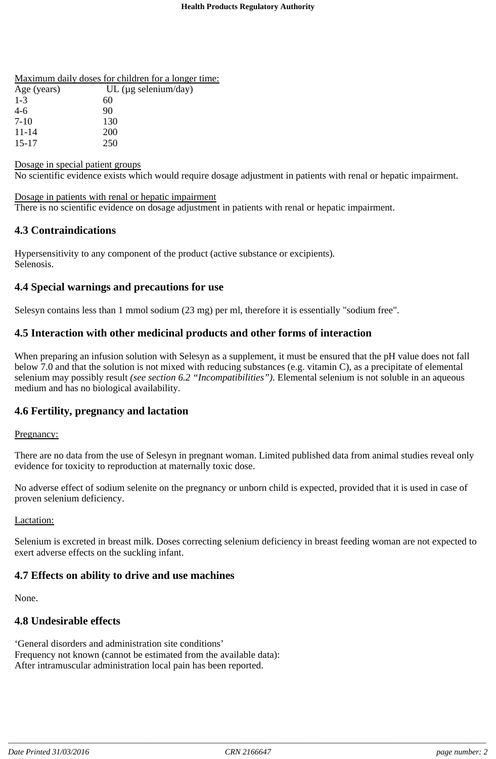| Maximum daily doses for children for a longer time: |  |  |  |  |
|-----------------------------------------------------|--|--|--|--|
|                                                     |  |  |  |  |

| Age (years) | UL ( $\mu$ g selenium/day) |
|-------------|----------------------------|
| $1 - 3$     | 60                         |
| $4-6$       | 90                         |
| $7-10$      | 130                        |
| $11 - 14$   | <b>200</b>                 |
| $15 - 17$   | 250                        |

Dosage in special patient groups

No scientific evidence exists which would require dosage adjustment in patients with renal or hepatic impairment.

Dosage in patients with renal or hepatic impairment There is no scientific evidence on dosage adjustment in patients with renal or hepatic impairment.

# **4.3 Contraindications**

Hypersensitivity to any component of the product (active substance or excipients). Selenosis.

# **4.4 Special warnings and precautions for use**

Selesyn contains less than 1 mmol sodium (23 mg) per ml, therefore it is essentially "sodium free".

# **4.5 Interaction with other medicinal products and other forms of interaction**

When preparing an infusion solution with Selesyn as a supplement, it must be ensured that the pH value does not fall below 7.0 and that the solution is not mixed with reducing substances (e.g. vitamin C), as a precipitate of elemental selenium may possibly result *(see section 6.2 "Incompatibilities")*. Elemental selenium is not soluble in an aqueous medium and has no biological availability.

### **4.6 Fertility, pregnancy and lactation**

#### Pregnancy:

There are no data from the use of Selesyn in pregnant woman. Limited published data from animal studies reveal only evidence for toxicity to reproduction at maternally toxic dose.

No adverse effect of sodium selenite on the pregnancy or unborn child is expected, provided that it is used in case of proven selenium deficiency.

#### Lactation:

Selenium is excreted in breast milk. Doses correcting selenium deficiency in breast feeding woman are not expected to exert adverse effects on the suckling infant.

### **4.7 Effects on ability to drive and use machines**

None.

### **4.8 Undesirable effects**

'General disorders and administration site conditions' Frequency not known (cannot be estimated from the available data): After intramuscular administration local pain has been reported.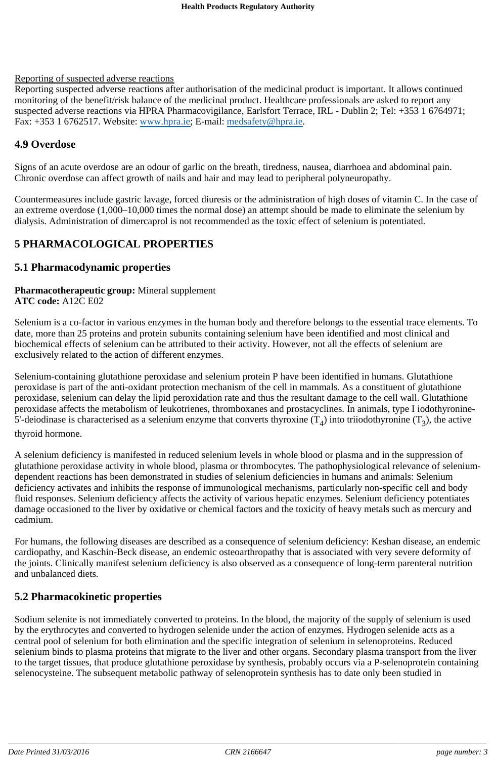#### Reporting of suspected adverse reactions

Reporting suspected adverse reactions after authorisation of the medicinal product is important. It allows continued monitoring of the benefit/risk balance of the medicinal product. Healthcare professionals are asked to report any suspected adverse reactions via HPRA Pharmacovigilance, Earlsfort Terrace, IRL - Dublin 2; Tel: +353 1 6764971; Fax: +353 1 6762517. Website: www.hpra.ie; E-mail: medsafety@hpra.ie.

# **4.9 Overdose**

Signs of an acute overdose are an odour of garlic on the breath, tiredness, nausea, diarrhoea and abdominal pain. Chronic overdose can affect growth of nails and hair and may lead to peripheral polyneuropathy.

Countermeasures include gastric lavage, forced diuresis or the administration of high doses of vitamin C. In the case of an extreme overdose (1,000–10,000 times the normal dose) an attempt should be made to eliminate the selenium by dialysis. Administration of dimercaprol is not recommended as the toxic effect of selenium is potentiated.

# **5 PHARMACOLOGICAL PROPERTIES**

### **5.1 Pharmacodynamic properties**

#### **Pharmacotherapeutic group:** Mineral supplement **ATC code:** A12C E02

Selenium is a co-factor in various enzymes in the human body and therefore belongs to the essential trace elements. To date, more than 25 proteins and protein subunits containing selenium have been identified and most clinical and biochemical effects of selenium can be attributed to their activity. However, not all the effects of selenium are exclusively related to the action of different enzymes.

Selenium-containing glutathione peroxidase and selenium protein P have been identified in humans. Glutathione peroxidase is part of the anti-oxidant protection mechanism of the cell in mammals. As a constituent of glutathione peroxidase, selenium can delay the lipid peroxidation rate and thus the resultant damage to the cell wall. Glutathione peroxidase affects the metabolism of leukotrienes, thromboxanes and prostacyclines. In animals, type I iodothyronine-5'-deiodinase is characterised as a selenium enzyme that converts thyroxine  $(T_4)$  into triiodothyronine  $(T_2)$ , the active thyroid hormone.

A selenium deficiency is manifested in reduced selenium levels in whole blood or plasma and in the suppression of glutathione peroxidase activity in whole blood, plasma or thrombocytes. The pathophysiological relevance of seleniumdependent reactions has been demonstrated in studies of selenium deficiencies in humans and animals: Selenium deficiency activates and inhibits the response of immunological mechanisms, particularly non-specific cell and body fluid responses. Selenium deficiency affects the activity of various hepatic enzymes. Selenium deficiency potentiates damage occasioned to the liver by oxidative or chemical factors and the toxicity of heavy metals such as mercury and cadmium.

For humans, the following diseases are described as a consequence of selenium deficiency: Keshan disease, an endemic cardiopathy, and Kaschin-Beck disease, an endemic osteoarthropathy that is associated with very severe deformity of the joints. Clinically manifest selenium deficiency is also observed as a consequence of long-term parenteral nutrition and unbalanced diets.

# **5.2 Pharmacokinetic properties**

Sodium selenite is not immediately converted to proteins. In the blood, the majority of the supply of selenium is used by the erythrocytes and converted to hydrogen selenide under the action of enzymes. Hydrogen selenide acts as a central pool of selenium for both elimination and the specific integration of selenium in selenoproteins. Reduced selenium binds to plasma proteins that migrate to the liver and other organs. Secondary plasma transport from the liver to the target tissues, that produce glutathione peroxidase by synthesis, probably occurs via a P-selenoprotein containing selenocysteine. The subsequent metabolic pathway of selenoprotein synthesis has to date only been studied in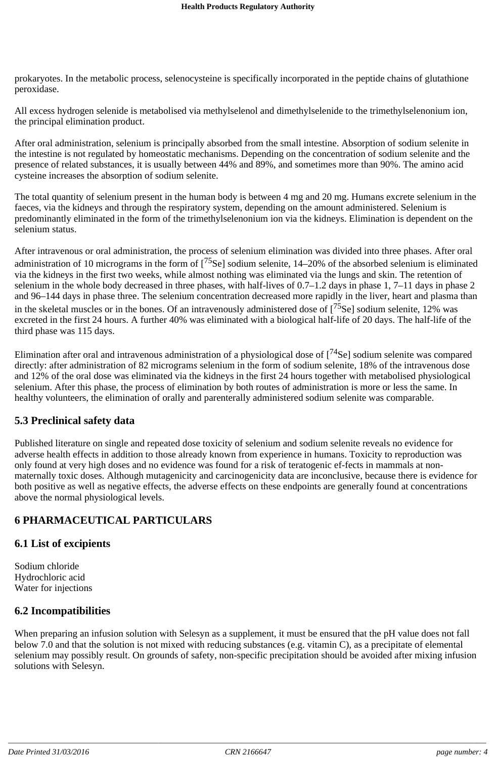prokaryotes. In the metabolic process, selenocysteine is specifically incorporated in the peptide chains of glutathione peroxidase.

All excess hydrogen selenide is metabolised via methylselenol and dimethylselenide to the trimethylselenonium ion, the principal elimination product.

After oral administration, selenium is principally absorbed from the small intestine. Absorption of sodium selenite in the intestine is not regulated by homeostatic mechanisms. Depending on the concentration of sodium selenite and the presence of related substances, it is usually between 44% and 89%, and sometimes more than 90%. The amino acid cysteine increases the absorption of sodium selenite.

The total quantity of selenium present in the human body is between 4 mg and 20 mg. Humans excrete selenium in the faeces, via the kidneys and through the respiratory system, depending on the amount administered. Selenium is predominantly eliminated in the form of the trimethylselenonium ion via the kidneys. Elimination is dependent on the selenium status.

After intravenous or oral administration, the process of selenium elimination was divided into three phases. After oral administration of 10 micrograms in the form of [<sup>75</sup>Se] sodium selenite, 14–20% of the absorbed selenium is eliminated via the kidneys in the first two weeks, while almost nothing was eliminated via the lungs and skin. The retention of selenium in the whole body decreased in three phases, with half-lives of 0.7–1.2 days in phase 1, 7–11 days in phase 2 and 96–144 days in phase three. The selenium concentration decreased more rapidly in the liver, heart and plasma than in the skeletal muscles or in the bones. Of an intravenously administered dose of  $[^{75}$ Se] sodium selenite, 12% was excreted in the first 24 hours. A further 40% was eliminated with a biological half-life of 20 days. The half-life of the third phase was 115 days.

Elimination after oral and intravenous administration of a physiological dose of  $[^{74}$ Se] sodium selenite was compared directly: after administration of 82 microgram*s* selenium in the form of sodium selenite, 18% of the intravenous dose and 12% of the oral dose was eliminated via the kidneys in the first 24 hours together with metabolised physiological selenium. After this phase, the process of elimination by both routes of administration is more or less the same. In healthy volunteers, the elimination of orally and parenterally administered sodium selenite was comparable.

# **5.3 Preclinical safety data**

Published literature on single and repeated dose toxicity of selenium and sodium selenite reveals no evidence for adverse health effects in addition to those already known from experience in humans. Toxicity to reproduction was only found at very high doses and no evidence was found for a risk of teratogenic ef-fects in mammals at nonmaternally toxic doses. Although mutagenicity and carcinogenicity data are inconclusive, because there is evidence for both positive as well as negative effects, the adverse effects on these endpoints are generally found at concentrations above the normal physiological levels.

# **6 PHARMACEUTICAL PARTICULARS**

### **6.1 List of excipients**

Sodium chloride Hydrochloric acid Water for injections

# **6.2 Incompatibilities**

When preparing an infusion solution with Selesyn as a supplement, it must be ensured that the pH value does not fall below 7.0 and that the solution is not mixed with reducing substances (e.g. vitamin C), as a precipitate of elemental selenium may possibly result. On grounds of safety, non-specific precipitation should be avoided after mixing infusion solutions with Selesyn.